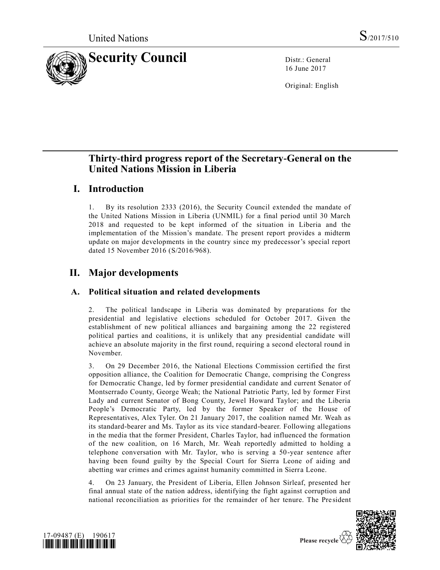

16 June 2017

Original: English

# **Thirty-third progress report of the Secretary-General on the United Nations Mission in Liberia**

## **I. Introduction**

1. By its resolution [2333 \(2016\),](https://undocs.org/S/RES/2333(2016)) the Security Council extended the mandate of the United Nations Mission in Liberia (UNMIL) for a final period until 30 March 2018 and requested to be kept informed of the situation in Liberia and the implementation of the Mission's mandate. The present report provides a midterm update on major developments in the country since my predecessor's special report dated 15 November 2016 [\(S/2016/968\)](https://undocs.org/S/2016/968).

# **II. Major developments**

## **A. Political situation and related developments**

2. The political landscape in Liberia was dominated by preparations for the presidential and legislative elections scheduled for October 2017. Given the establishment of new political alliances and bargaining among the 22 registered political parties and coalitions, it is unlikely that any presidential candidate will achieve an absolute majority in the first round, requiring a second electoral round in November.

3. On 29 December 2016, the National Elections Commission certified the first opposition alliance, the Coalition for Democratic Change, comprising the Congress for Democratic Change, led by former presidential candidate and current Senator of Montserrado County, George Weah; the National Patriotic Party, led by former First Lady and current Senator of Bong County, Jewel Howard Taylor; and the Liberia People's Democratic Party, led by the former Speaker of the House of Representatives, Alex Tyler. On 21 January 2017, the coalition named Mr. Weah as its standard-bearer and Ms. Taylor as its vice standard-bearer. Following allegations in the media that the former President, Charles Taylor, had influenced the formation of the new coalition, on 16 March, Mr. Weah reportedly admitted to holding a telephone conversation with Mr. Taylor, who is serving a 50-year sentence after having been found guilty by the Special Court for Sierra Leone of aiding and abetting war crimes and crimes against humanity committed in Sierra Leone.

4. On 23 January, the President of Liberia, Ellen Johnson Sirleaf, presented her final annual state of the nation address, identifying the fight against corruption and national reconciliation as priorities for the remainder of her tenure. The Pre sident



Please recycle  $\overline{\mathfrak{S}}$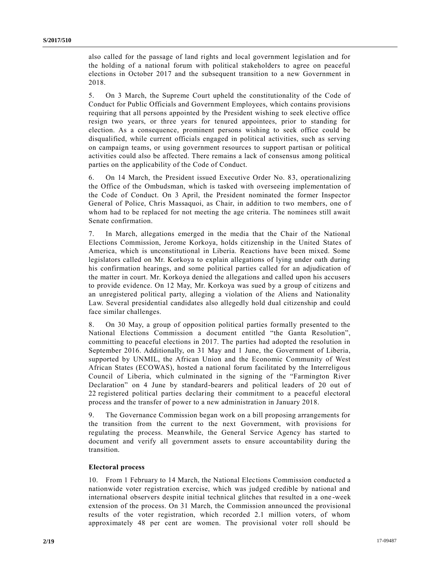also called for the passage of land rights and local government legislation and for the holding of a national forum with political stakeholders to agree on peaceful elections in October 2017 and the subsequent transition to a new Government in 2018.

5. On 3 March, the Supreme Court upheld the constitutionality of the Code of Conduct for Public Officials and Government Employees, which contains provisions requiring that all persons appointed by the President wishing to seek elective office resign two years, or three years for tenured appointees, prior to standing for election. As a consequence, prominent persons wishing to seek office could be disqualified, while current officials engaged in political activities, such as serving on campaign teams, or using government resources to support partisan or political activities could also be affected. There remains a lack of consensus among political parties on the applicability of the Code of Conduct.

6. On 14 March, the President issued Executive Order No. 83, operationalizing the Office of the Ombudsman, which is tasked with overseeing implementation of the Code of Conduct. On 3 April, the President nominated the former Inspector General of Police, Chris Massaquoi, as Chair, in addition to two members, one of whom had to be replaced for not meeting the age criteria. The nominees still await Senate confirmation.

7. In March, allegations emerged in the media that the Chair of the National Elections Commission, Jerome Korkoya, holds citizenship in the United States of America, which is unconstitutional in Liberia. Reactions have been mixed. Some legislators called on Mr. Korkoya to explain allegations of lying under oath during his confirmation hearings, and some political parties called for an adjudication of the matter in court. Mr. Korkoya denied the allegations and called upon his accusers to provide evidence. On 12 May, Mr. Korkoya was sued by a group of citizens and an unregistered political party, alleging a violation of the Aliens and Nationality Law. Several presidential candidates also allegedly hold dual citizenship and could face similar challenges.

8. On 30 May, a group of opposition political parties formally presented to the National Elections Commission a document entitled "the Ganta Resolution", committing to peaceful elections in 2017. The parties had adopted the resolution in September 2016. Additionally, on 31 May and 1 June, the Government of Liberia, supported by UNMIL, the African Union and the Economic Community of West African States (ECOWAS), hosted a national forum facilitated by the Interreligous Council of Liberia, which culminated in the signing of the "Farmington River Declaration" on 4 June by standard-bearers and political leaders of 20 out of 22 registered political parties declaring their commitment to a peaceful electoral process and the transfer of power to a new administration in January 2018.

9. The Governance Commission began work on a bill proposing arrangements for the transition from the current to the next Government, with provisions for regulating the process. Meanwhile, the General Service Agency has started to document and verify all government assets to ensure accountability during the transition.

#### **Electoral process**

10. From 1 February to 14 March, the National Elections Commission conducted a nationwide voter registration exercise, which was judged credible by national and international observers despite initial technical glitches that resulted in a one -week extension of the process. On 31 March, the Commission announced the provisional results of the voter registration, which recorded 2.1 million voters, of whom approximately 48 per cent are women. The provisional voter roll should be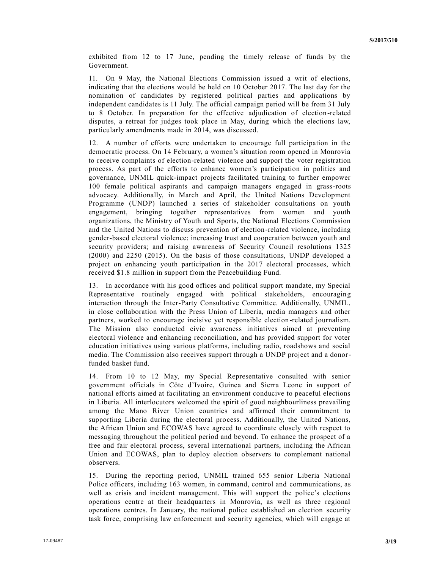exhibited from 12 to 17 June, pending the timely release of funds by the Government.

11. On 9 May, the National Elections Commission issued a writ of elections, indicating that the elections would be held on 10 October 2017. The last day for the nomination of candidates by registered political parties and applications by independent candidates is 11 July. The official campaign period will be from 31 July to 8 October. In preparation for the effective adjudication of election-related disputes, a retreat for judges took place in May, during which the elections law, particularly amendments made in 2014, was discussed.

12. A number of efforts were undertaken to encourage full participation in the democratic process. On 14 February, a women's situation room opened in Monrovia to receive complaints of election-related violence and support the voter registration process. As part of the efforts to enhance women's participation in politics and governance, UNMIL quick-impact projects facilitated training to further empower 100 female political aspirants and campaign managers engaged in grass-roots advocacy. Additionally, in March and April, the United Nations Development Programme (UNDP) launched a series of stakeholder consultations on youth engagement, bringing together representatives from women and youth organizations, the Ministry of Youth and Sports, the National Elections Commission and the United Nations to discuss prevention of election-related violence, including gender-based electoral violence; increasing trust and cooperation between youth and security providers; and raising awareness of Security Council resolutions [1325](https://undocs.org/S/RES/1325(2000))  [\(2000\)](https://undocs.org/S/RES/1325(2000)) and [2250 \(2015\).](https://undocs.org/S/RES/2250(2015)) On the basis of those consultations, UNDP developed a project on enhancing youth participation in the 2017 electoral processes, which received \$1.8 million in support from the Peacebuilding Fund.

13. In accordance with his good offices and political support mandate, my Special Representative routinely engaged with political stakeholders, encouraging interaction through the Inter-Party Consultative Committee. Additionally, UNMIL, in close collaboration with the Press Union of Liberia, media managers and other partners, worked to encourage incisive yet responsible election-related journalism. The Mission also conducted civic awareness initiatives aimed at preventing electoral violence and enhancing reconciliation, and has provided support for voter education initiatives using various platforms, including radio, roadshows and social media. The Commission also receives support through a UNDP project and a donorfunded basket fund.

14. From 10 to 12 May, my Special Representative consulted with senior government officials in Côte d'Ivoire, Guinea and Sierra Leone in support of national efforts aimed at facilitating an environment conducive to peaceful elections in Liberia. All interlocutors welcomed the spirit of good neighbourliness prevailing among the Mano River Union countries and affirmed their commitment to supporting Liberia during the electoral process. Additionally, the United Nations, the African Union and ECOWAS have agreed to coordinate closely with respect to messaging throughout the political period and beyond. To enhance the prospect of a free and fair electoral process, several international partners, including the African Union and ECOWAS, plan to deploy election observers to complement national observers.

15. During the reporting period, UNMIL trained 655 senior Liberia National Police officers, including 163 women, in command, control and communications, as well as crisis and incident management. This will support the police's elections operations centre at their headquarters in Monrovia, as well as three regional operations centres. In January, the national police established an election security task force, comprising law enforcement and security agencies, which will engage at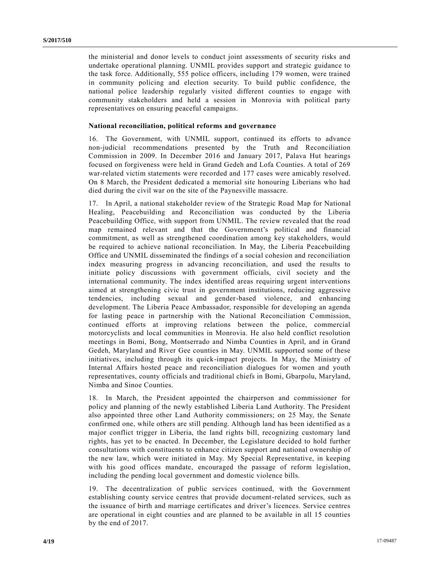the ministerial and donor levels to conduct joint assessments of security risks and undertake operational planning. UNMIL provides support and strategic guidance to the task force. Additionally, 555 police officers, including 179 women, were trained in community policing and election security. To build public confidence, the national police leadership regularly visited different counties to engage with community stakeholders and held a session in Monrovia with political party representatives on ensuring peaceful campaigns.

#### **National reconciliation, political reforms and governance**

16. The Government, with UNMIL support, continued its efforts to advance non-judicial recommendations presented by the Truth and Reconciliation Commission in 2009. In December 2016 and January 2017, Palava Hut hearings focused on forgiveness were held in Grand Gedeh and Lofa Counties. A total of 269 war-related victim statements were recorded and 177 cases were amicably resolved. On 8 March, the President dedicated a memorial site honouring Liberians who had died during the civil war on the site of the Paynesville massacre.

17. In April, a national stakeholder review of the Strategic Road Map for National Healing, Peacebuilding and Reconciliation was conducted by the Liberia Peacebuilding Office, with support from UNMIL. The review revealed that the road map remained relevant and that the Government's political and financial commitment, as well as strengthened coordination among key stakeholders, would be required to achieve national reconciliation. In May, the Liberia Peacebuilding Office and UNMIL disseminated the findings of a social cohesion and reconciliation index measuring progress in advancing reconciliation, and used the results to initiate policy discussions with government officials, civil society and the international community. The index identified areas requiring urgent interventions aimed at strengthening civic trust in government institutions, reducing aggressive tendencies, including sexual and gender-based violence, and enhancing development. The Liberia Peace Ambassador, responsible for developing an agenda for lasting peace in partnership with the National Reconciliation Commission, continued efforts at improving relations between the police, commercial motorcyclists and local communities in Monrovia. He also held conflict resolution meetings in Bomi, Bong, Montserrado and Nimba Counties in April, and in Grand Gedeh, Maryland and River Gee counties in May. UNMIL supported some of these initiatives, including through its quick-impact projects. In May, the Ministry of Internal Affairs hosted peace and reconciliation dialogues for women and youth representatives, county officials and traditional chiefs in Bomi, Gbarpolu, Maryland, Nimba and Sinoe Counties.

18. In March, the President appointed the chairperson and commissioner for policy and planning of the newly established Liberia Land Authority. The President also appointed three other Land Authority commissioners; on 25 May, the Senate confirmed one, while others are still pending. Although land has been identified as a major conflict trigger in Liberia, the land rights bill, recognizing customary land rights, has yet to be enacted. In December, the Legislature decided to hold further consultations with constituents to enhance citizen support and national ownership of the new law, which were initiated in May. My Special Representative, in keeping with his good offices mandate, encouraged the passage of reform legislation, including the pending local government and domestic violence bills.

19. The decentralization of public services continued, with the Government establishing county service centres that provide document-related services, such as the issuance of birth and marriage certificates and driver's licences. Service centres are operational in eight counties and are planned to be available in all 15 counties by the end of 2017.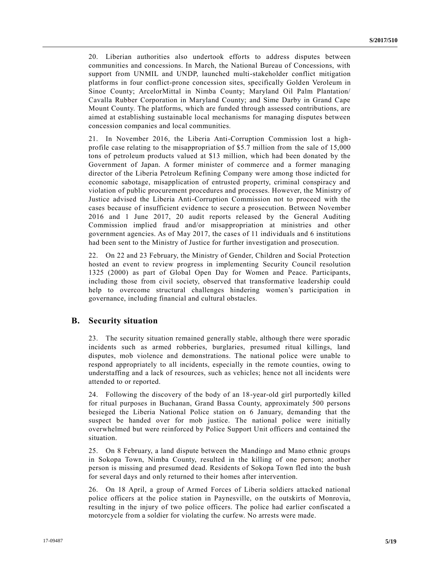20. Liberian authorities also undertook efforts to address disputes between communities and concessions. In March, the National Bureau of Concessions, with support from UNMIL and UNDP, launched multi-stakeholder conflict mitigation platforms in four conflict-prone concession sites, specifically Golden Veroleum in Sinoe County; ArcelorMittal in Nimba County; Maryland Oil Palm Plantation/ Cavalla Rubber Corporation in Maryland County; and Sime Darby in Grand Cape Mount County. The platforms, which are funded through assessed contributions, are aimed at establishing sustainable local mechanisms for managing disputes between concession companies and local communities.

21. In November 2016, the Liberia Anti-Corruption Commission lost a highprofile case relating to the misappropriation of \$5.7 million from the sale of 15,000 tons of petroleum products valued at \$13 million, which had been donated by the Government of Japan. A former minister of commerce and a former managing director of the Liberia Petroleum Refining Company were among those indicted for economic sabotage, misapplication of entrusted property, criminal conspiracy and violation of public procurement procedures and processes. However, the Ministry of Justice advised the Liberia Anti-Corruption Commission not to proceed with the cases because of insufficient evidence to secure a prosecution. Between November 2016 and 1 June 2017, 20 audit reports released by the General Auditing Commission implied fraud and/or misappropriation at ministries and other government agencies. As of May 2017, the cases of 11 individuals and 6 institutions had been sent to the Ministry of Justice for further investigation and prosecution.

22. On 22 and 23 February, the Ministry of Gender, Children and Social Protection hosted an event to review progress in implementing Security Council resolution [1325 \(2000\)](https://undocs.org/S/RES/1325(2000)) as part of Global Open Day for Women and Peace. Participants, including those from civil society, observed that transformative leadership could help to overcome structural challenges hindering women's participation in governance, including financial and cultural obstacles.

#### **B. Security situation**

23. The security situation remained generally stable, although there were sporadic incidents such as armed robberies, burglaries, presumed ritual killings, land disputes, mob violence and demonstrations. The national police were unable to respond appropriately to all incidents, especially in the remote counties, owing to understaffing and a lack of resources, such as vehicles; hence not all incidents were attended to or reported.

24. Following the discovery of the body of an 18-year-old girl purportedly killed for ritual purposes in Buchanan, Grand Bassa County, approximately 500 persons besieged the Liberia National Police station on 6 January, demanding that the suspect be handed over for mob justice. The national police were initially overwhelmed but were reinforced by Police Support Unit officers and contained the situation.

25. On 8 February, a land dispute between the Mandingo and Mano ethnic groups in Sokopa Town, Nimba County, resulted in the killing of one person; another person is missing and presumed dead. Residents of Sokopa Town fled into the bush for several days and only returned to their homes after intervention.

26. On 18 April, a group of Armed Forces of Liberia soldiers attacked national police officers at the police station in Paynesville, on the outskirts of Monrovia, resulting in the injury of two police officers. The police had earlier confiscated a motorcycle from a soldier for violating the curfew. No arrests were made.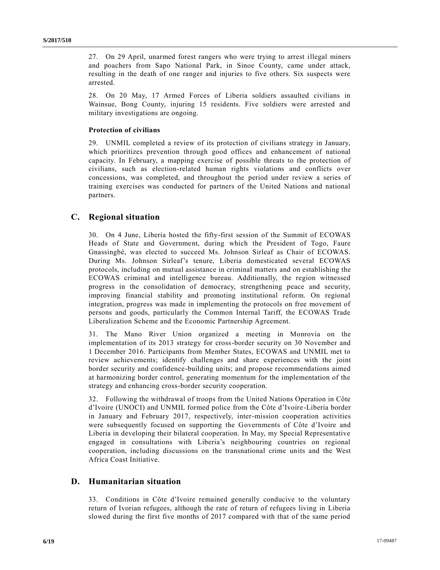27. On 29 April, unarmed forest rangers who were trying to arrest illegal miners and poachers from Sapo National Park, in Sinoe County, came under attack, resulting in the death of one ranger and injuries to five others. Six suspects were arrested.

28. On 20 May, 17 Armed Forces of Liberia soldiers assaulted civilians in Wainsue, Bong County, injuring 15 residents. Five soldiers were arrested and military investigations are ongoing.

#### **Protection of civilians**

29. UNMIL completed a review of its protection of civilians strategy in January, which prioritizes prevention through good offices and enhancement of national capacity. In February, a mapping exercise of possible threats to the protection of civilians, such as election-related human rights violations and conflicts over concessions, was completed, and throughout the period under review a series of training exercises was conducted for partners of the United Nations and national partners.

#### **C. Regional situation**

30. On 4 June, Liberia hosted the fifty-first session of the Summit of ECOWAS Heads of State and Government, during which the President of Togo, Faure Gnassingbé, was elected to succeed Ms. Johnson Sirleaf as Chair of ECOWAS. During Ms. Johnson Sirleaf's tenure, Liberia domesticated several ECOWAS protocols, including on mutual assistance in criminal matters and on establishing the ECOWAS criminal and intelligence bureau. Additionally, the region witnessed progress in the consolidation of democracy, strengthening peace and security, improving financial stability and promoting institutional reform. On regional integration, progress was made in implementing the protocols on free movement of persons and goods, particularly the Common Internal Tariff, the ECOWAS Trade Liberalization Scheme and the Economic Partnership Agreement.

31. The Mano River Union organized a meeting in Monrovia on the implementation of its 2013 strategy for cross-border security on 30 November and 1 December 2016. Participants from Member States, ECOWAS and UNMIL met to review achievements; identify challenges and share experiences with the joint border security and confidence-building units; and propose recommendations aimed at harmonizing border control, generating momentum for the implementation of the strategy and enhancing cross-border security cooperation.

32. Following the withdrawal of troops from the United Nations Operation in Côte d'Ivoire (UNOCI) and UNMIL formed police from the Côte d'Ivoire -Liberia border in January and February 2017, respectively, inter-mission cooperation activities were subsequently focused on supporting the Governments of Côte d'Ivoire and Liberia in developing their bilateral cooperation. In May, my Special Representative engaged in consultations with Liberia's neighbouring countries on regional cooperation, including discussions on the transnational crime units and the West Africa Coast Initiative.

#### **D. Humanitarian situation**

33. Conditions in Côte d'Ivoire remained generally conducive to the voluntary return of Ivorian refugees, although the rate of return of refugees living in Liberia slowed during the first five months of 2017 compared with that of the same period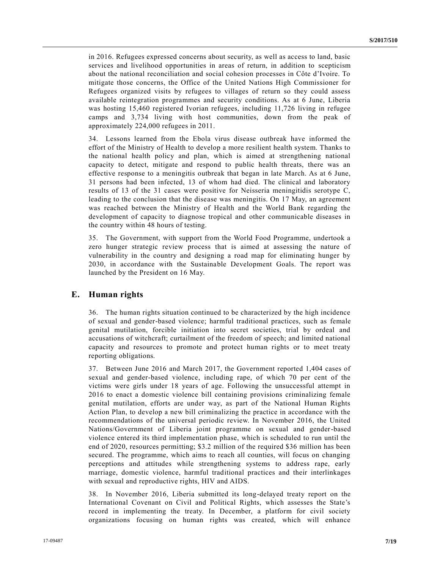in 2016. Refugees expressed concerns about security, as well as access to land, basic services and livelihood opportunities in areas of return, in addition to scepticism about the national reconciliation and social cohesion processes in Côte d'Ivoire. To mitigate those concerns, the Office of the United Nations High Commissioner for Refugees organized visits by refugees to villages of return so they could assess available reintegration programmes and security conditions. As at 6 June, Liberia was hosting 15,460 registered Ivorian refugees, including 11,726 living in refugee camps and 3,734 living with host communities, down from the peak of approximately 224,000 refugees in 2011.

34. Lessons learned from the Ebola virus disease outbreak have informed the effort of the Ministry of Health to develop a more resilient health system. Thanks to the national health policy and plan, which is aimed at strengthening national capacity to detect, mitigate and respond to public health threats, there was an effective response to a meningitis outbreak that began in late March. As at 6 June, 31 persons had been infected, 13 of whom had died. The clinical and laboratory results of 13 of the 31 cases were positive for Neisseria meningitidis serotype C, leading to the conclusion that the disease was meningitis. On 17 May, an agreement was reached between the Ministry of Health and the World Bank regarding the development of capacity to diagnose tropical and other communicable diseases in the country within 48 hours of testing.

35. The Government, with support from the World Food Programme, undertook a zero hunger strategic review process that is aimed at assessing the nature of vulnerability in the country and designing a road map for eliminating hunger by 2030, in accordance with the Sustainable Development Goals. The report was launched by the President on 16 May.

## **E. Human rights**

36. The human rights situation continued to be characterized by the high incidence of sexual and gender-based violence; harmful traditional practices, such as female genital mutilation, forcible initiation into secret societies, trial by ordeal and accusations of witchcraft; curtailment of the freedom of speech; and limited national capacity and resources to promote and protect human rights or to meet treaty reporting obligations.

37. Between June 2016 and March 2017, the Government reported 1,404 cases of sexual and gender-based violence, including rape, of which 70 per cent of the victims were girls under 18 years of age. Following the unsuccessful attempt in 2016 to enact a domestic violence bill containing provisions criminalizing female genital mutilation, efforts are under way, as part of the National Human Rights Action Plan, to develop a new bill criminalizing the practice in accordance with the recommendations of the universal periodic review. In November 2016, the United Nations/Government of Liberia joint programme on sexual and gender-based violence entered its third implementation phase, which is scheduled to run until the end of 2020, resources permitting; \$3.2 million of the required \$36 million has been secured. The programme, which aims to reach all counties, will focus on changing perceptions and attitudes while strengthening systems to address rape, early marriage, domestic violence, harmful traditional practices and their interlinkages with sexual and reproductive rights, HIV and AIDS.

38. In November 2016, Liberia submitted its long-delayed treaty report on the International Covenant on Civil and Political Rights, which assesses the State's record in implementing the treaty. In December, a platform for civil society organizations focusing on human rights was created, which will enhance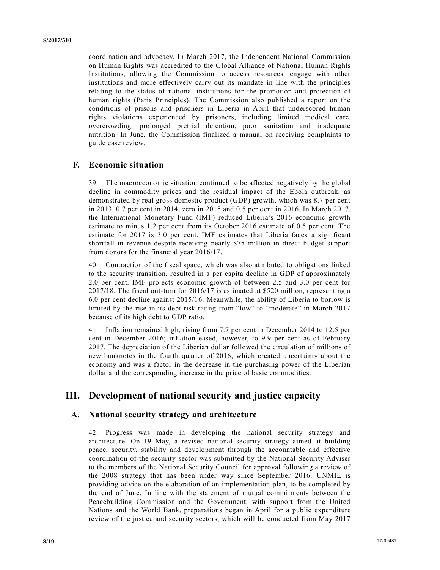coordination and advocacy. In March 2017, the Independent National Commission on Human Rights was accredited to the Global Alliance of National Human Rights Institutions, allowing the Commission to access resources, engage with other institutions and more effectively carry out its mandate in line with the principles relating to the status of national institutions for the promotion and protection of human rights (Paris Principles). The Commission also published a report on the conditions of prisons and prisoners in Liberia in April that underscored human rights violations experienced by prisoners, including limited medical care, overcrowding, prolonged pretrial detention, poor sanitation and inadequate nutrition. In June, the Commission finalized a manual on receiving complaints to guide case review.

## **F. Economic situation**

39. The macroeconomic situation continued to be affected negatively by the global decline in commodity prices and the residual impact of the Ebola outbreak, as demonstrated by real gross domestic product (GDP) growth, which was 8.7 per cent in 2013, 0.7 per cent in 2014, zero in 2015 and 0.5 per cent in 2016. In March 2017, the International Monetary Fund (IMF) reduced Liberia's 2016 economic growth estimate to minus 1.2 per cent from its October 2016 estimate of 0.5 per cent. The estimate for 2017 is 3.0 per cent. IMF estimates that Liberia faces a significant shortfall in revenue despite receiving nearly \$75 million in direct budget support from donors for the financial year 2016/17.

40. Contraction of the fiscal space, which was also attributed to obligations linked to the security transition, resulted in a per capita decline in GDP of approximately 2.0 per cent. IMF projects economic growth of between 2.5 and 3.0 per cent for 2017/18. The fiscal out-turn for 2016/17 is estimated at \$520 million, representing a 6.0 per cent decline against 2015/16. Meanwhile, the ability of Liberia to borrow is limited by the rise in its debt risk rating from "low" to "moderate" in March 2017 because of its high debt to GDP ratio.

41. Inflation remained high, rising from 7.7 per cent in December 2014 to 12.5 per cent in December 2016; inflation eased, however, to 9.9 per cent as of February 2017. The depreciation of the Liberian dollar followed the circulation of millions of new banknotes in the fourth quarter of 2016, which created uncertainty about the economy and was a factor in the decrease in the purchasing power of the Liberian dollar and the corresponding increase in the price of basic commodities.

## **III. Development of national security and justice capacity**

#### **A. National security strategy and architecture**

42. Progress was made in developing the national security strategy and architecture. On 19 May, a revised national security strategy aimed at building peace, security, stability and development through the accountable and effective coordination of the security sector was submitted by the National Security Adviser to the members of the National Security Council for approval following a review of the 2008 strategy that has been under way since September 2016. UNMIL is providing advice on the elaboration of an implementation plan, to be completed by the end of June. In line with the statement of mutual commitments between the Peacebuilding Commission and the Government, with support from the United Nations and the World Bank, preparations began in April for a public expenditure review of the justice and security sectors, which will be conducted from May 2017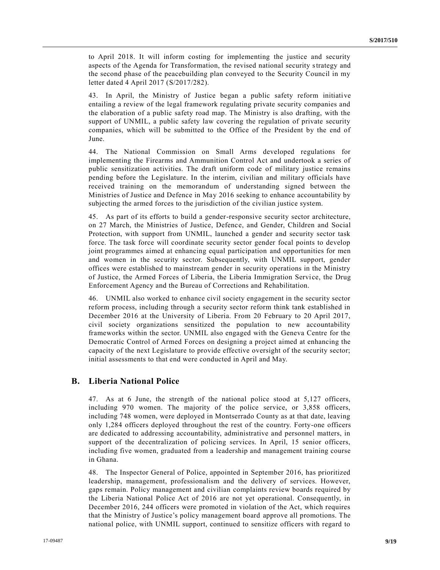to April 2018. It will inform costing for implementing the justice and security aspects of the Agenda for Transformation, the revised national security strategy and the second phase of the peacebuilding plan conveyed to the Security Council in my letter dated 4 April 2017 [\(S/2017/282\)](https://undocs.org/S/2017/282).

43. In April, the Ministry of Justice began a public safety reform initiative entailing a review of the legal framework regulating private security companies and the elaboration of a public safety road map. The Ministry is also drafting, with the support of UNMIL, a public safety law covering the regulation of private security companies, which will be submitted to the Office of the President by the end of June.

44. The National Commission on Small Arms developed regulations for implementing the Firearms and Ammunition Control Act and undertook a series of public sensitization activities. The draft uniform code of military justice remains pending before the Legislature. In the interim, civilian and military officials have received training on the memorandum of understanding signed between the Ministries of Justice and Defence in May 2016 seeking to enhance accountability by subjecting the armed forces to the jurisdiction of the civilian justice system.

45. As part of its efforts to build a gender-responsive security sector architecture, on 27 March, the Ministries of Justice, Defence, and Gender, Children and Social Protection, with support from UNMIL, launched a gender and security sector task force. The task force will coordinate security sector gender focal points to develop joint programmes aimed at enhancing equal participation and opportunities for men and women in the security sector. Subsequently, with UNMIL support, gender offices were established to mainstream gender in security operations in the Ministry of Justice, the Armed Forces of Liberia, the Liberia Immigration Service, the Drug Enforcement Agency and the Bureau of Corrections and Rehabilitation.

46. UNMIL also worked to enhance civil society engagement in the security sector reform process, including through a security sector reform think tank established in December 2016 at the University of Liberia. From 20 February to 20 April 2017, civil society organizations sensitized the population to new accountability frameworks within the sector. UNMIL also engaged with the Geneva Centre for the Democratic Control of Armed Forces on designing a project aimed at enhancing the capacity of the next Legislature to provide effective oversight of the security sector; initial assessments to that end were conducted in April and May.

## **B. Liberia National Police**

47. As at 6 June, the strength of the national police stood at 5,127 officers, including 970 women. The majority of the police service, or 3,858 officers, including 748 women, were deployed in Montserrado County as at that date, leaving only 1,284 officers deployed throughout the rest of the country. Forty-one officers are dedicated to addressing accountability, administrative and personnel matters, in support of the decentralization of policing services. In April, 15 senior officers, including five women, graduated from a leadership and management training course in Ghana.

48. The Inspector General of Police, appointed in September 2016, has prioritized leadership, management, professionalism and the delivery of services. However, gaps remain. Policy management and civilian complaints review boards required by the Liberia National Police Act of 2016 are not yet operational. Consequently, in December 2016, 244 officers were promoted in violation of the Act, which requires that the Ministry of Justice's policy management board approve all promotions. The national police, with UNMIL support, continued to sensitize officers with regard to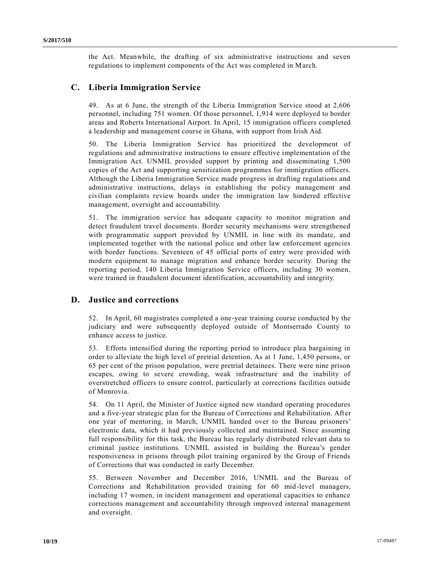the Act. Meanwhile, the drafting of six administrative instructions and seven regulations to implement components of the Act was completed in March.

## **C. Liberia Immigration Service**

49. As at 6 June, the strength of the Liberia Immigration Service stood at 2,606 personnel, including 751 women. Of those personnel, 1,914 were deployed to border areas and Roberts International Airport. In April, 15 immigration officers completed a leadership and management course in Ghana, with support from Irish Aid.

50. The Liberia Immigration Service has prioritized the development of regulations and administrative instructions to ensure effective implementation of the Immigration Act. UNMIL provided support by printing and disseminating 1,500 copies of the Act and supporting sensitization programmes for immigration officers. Although the Liberia Immigration Service made progress in drafting regulations and administrative instructions, delays in establishing the policy management and civilian complaints review boards under the immigration law hindered effective management, oversight and accountability.

51. The immigration service has adequate capacity to monitor migration and detect fraudulent travel documents. Border security mechanisms were strengthened with programmatic support provided by UNMIL in line with its mandate, and implemented together with the national police and other law enforcement agencies with border functions. Seventeen of 45 official ports of entry were provided with modern equipment to manage migration and enhance border security. During the reporting period, 140 Liberia Immigration Service officers, including 30 women, were trained in fraudulent document identification, accountability and integrity.

## **D. Justice and corrections**

52. In April, 60 magistrates completed a one-year training course conducted by the judiciary and were subsequently deployed outside of Montserrado County to enhance access to justice.

53. Efforts intensified during the reporting period to introduce plea bargaining in order to alleviate the high level of pretrial detention. As at 1 June, 1,450 persons, or 65 per cent of the prison population, were pretrial detainees. There were nine prison escapes, owing to severe crowding, weak infrastructure and the inability of overstretched officers to ensure control, particularly at corrections facilities outside of Monrovia.

54. On 11 April, the Minister of Justice signed new standard operating procedures and a five-year strategic plan for the Bureau of Corrections and Rehabilitation. After one year of mentoring, in March, UNMIL handed over to the Bureau prisoners' electronic data, which it had previously collected and maintained. Since assuming full responsibility for this task, the Bureau has regularly distributed relevant data to criminal justice institutions. UNMIL assisted in building the Bureau's gender responsiveness in prisons through pilot training organized by the Group of Friends of Corrections that was conducted in early December.

55. Between November and December 2016, UNMIL and the Bureau of Corrections and Rehabilitation provided training for 60 mid-level managers, including 17 women, in incident management and operational capacities to enhance corrections management and accountability through improved internal management and oversight.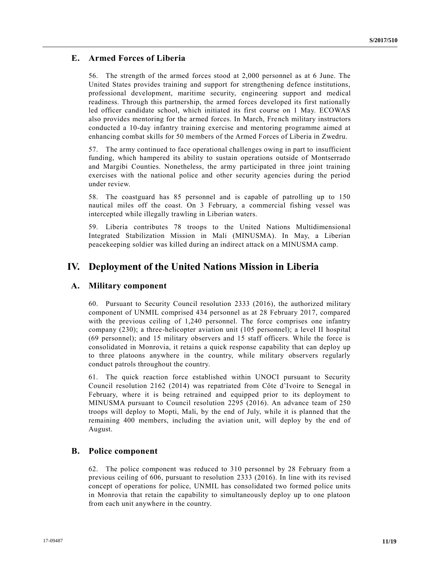## **E. Armed Forces of Liberia**

56. The strength of the armed forces stood at 2,000 personnel as at 6 June. The United States provides training and support for strengthening defence institutions, professional development, maritime security, engineering support and medical readiness. Through this partnership, the armed forces developed its first nationally led officer candidate school, which initiated its first course on 1 May. ECOWAS also provides mentoring for the armed forces. In March, French military instructors conducted a 10-day infantry training exercise and mentoring programme aimed at enhancing combat skills for 50 members of the Armed Forces of Liberia in Zwedru.

57. The army continued to face operational challenges owing in part to insufficient funding, which hampered its ability to sustain operations outside of Montserrado and Margibi Counties. Nonetheless, the army participated in three joint training exercises with the national police and other security agencies during the period under review.

58. The coastguard has 85 personnel and is capable of patrolling up to 150 nautical miles off the coast. On 3 February, a commercial fishing vessel was intercepted while illegally trawling in Liberian waters.

59. Liberia contributes 78 troops to the United Nations Multidimensional Integrated Stabilization Mission in Mali (MINUSMA). In May, a Liberian peacekeeping soldier was killed during an indirect attack on a MINUSMA camp.

## **IV. Deployment of the United Nations Mission in Liberia**

## **A. Military component**

60. Pursuant to Security Council resolution [2333 \(2016\),](https://undocs.org/S/RES/2333(2016)) the authorized military component of UNMIL comprised 434 personnel as at 28 February 2017, compared with the previous ceiling of 1,240 personnel. The force comprises one infantry company (230); a three-helicopter aviation unit (105 personnel); a level II hospital (69 personnel); and 15 military observers and 15 staff officers. While the force is consolidated in Monrovia, it retains a quick response capability that can deploy up to three platoons anywhere in the country, while military observers regularly conduct patrols throughout the country.

61. The quick reaction force established within UNOCI pursuant to Security Council resolution [2162 \(2014\)](https://undocs.org/S/RES/2162(2014)) was repatriated from Côte d'Ivoire to Senegal in February, where it is being retrained and equipped prior to its deployment to MINUSMA pursuant to Council resolution [2295 \(2016\).](https://undocs.org/S/RES/2295(2016)) An advance team of 250 troops will deploy to Mopti, Mali, by the end of July, while it is planned that the remaining 400 members, including the aviation unit, will deploy by the end of August.

## **B. Police component**

62. The police component was reduced to 310 personnel by 28 February from a previous ceiling of 606, pursuant to resolution [2333 \(2016\).](https://undocs.org/S/RES/2333(2016)) In line with its revised concept of operations for police, UNMIL has consolidated two formed police units in Monrovia that retain the capability to simultaneously deploy up to one platoon from each unit anywhere in the country.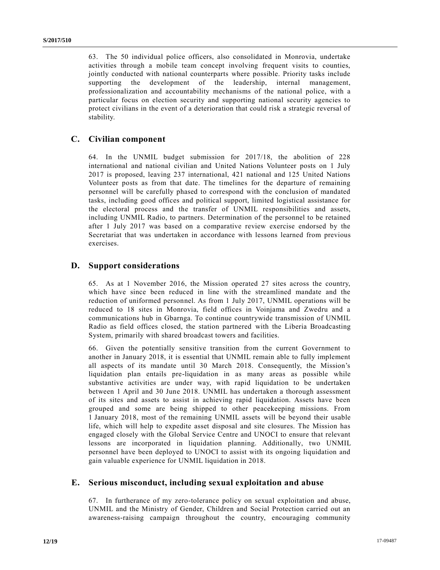63. The 50 individual police officers, also consolidated in Monrovia, undertake activities through a mobile team concept involving frequent visits to counties, jointly conducted with national counterparts where possible. Priority tasks include supporting the development of the leadership, internal management, professionalization and accountability mechanisms of the national police, with a particular focus on election security and supporting national security agencies to protect civilians in the event of a deterioration that could risk a strategic reversal of stability.

## **C. Civilian component**

64. In the UNMIL budget submission for 2017/18, the abolition of 228 international and national civilian and United Nations Volunteer posts on 1 July 2017 is proposed, leaving 237 international, 421 national and 125 United Nations Volunteer posts as from that date. The timelines for the departure of remaining personnel will be carefully phased to correspond with the conclusion of mandated tasks, including good offices and political support, limited logistical assistance for the electoral process and the transfer of UNMIL responsibilities and assets, including UNMIL Radio, to partners. Determination of the personnel to be retained after 1 July 2017 was based on a comparative review exercise endorsed by the Secretariat that was undertaken in accordance with lessons learned from previous exercises.

## **D. Support considerations**

65. As at 1 November 2016, the Mission operated 27 sites across the country, which have since been reduced in line with the streamlined mandate and the reduction of uniformed personnel. As from 1 July 2017, UNMIL operations will be reduced to 18 sites in Monrovia, field offices in Voinjama and Zwedru and a communications hub in Gbarnga. To continue countrywide transmission of UNMIL Radio as field offices closed, the station partnered with the Liberia Broadcasting System, primarily with shared broadcast towers and facilities.

66. Given the potentially sensitive transition from the current Government to another in January 2018, it is essential that UNMIL remain able to fully implement all aspects of its mandate until 30 March 2018. Consequently, the Mission's liquidation plan entails pre-liquidation in as many areas as possible while substantive activities are under way, with rapid liquidation to be undertaken between 1 April and 30 June 2018. UNMIL has undertaken a thorough assessment of its sites and assets to assist in achieving rapid liquidation. Assets have been grouped and some are being shipped to other peacekeeping missions. From 1 January 2018, most of the remaining UNMIL assets will be beyond their usable life, which will help to expedite asset disposal and site closures. The Mission has engaged closely with the Global Service Centre and UNOCI to ensure that relevant lessons are incorporated in liquidation planning. Additionally, two UNMIL personnel have been deployed to UNOCI to assist with its ongoing liquidation and gain valuable experience for UNMIL liquidation in 2018.

## **E. Serious misconduct, including sexual exploitation and abuse**

67. In furtherance of my zero-tolerance policy on sexual exploitation and abuse, UNMIL and the Ministry of Gender, Children and Social Protection carried out an awareness-raising campaign throughout the country, encouraging community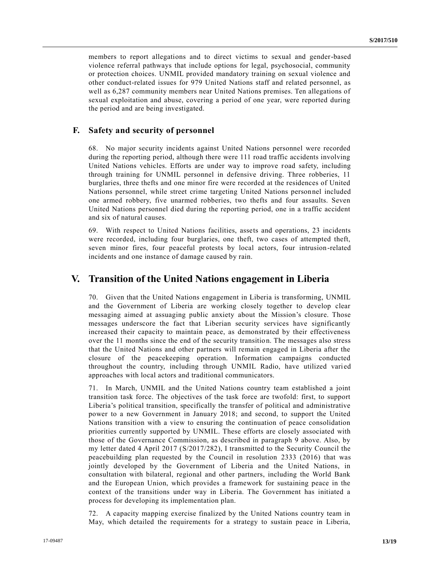members to report allegations and to direct victims to sexual and gender-based violence referral pathways that include options for legal, psychosocial, community or protection choices. UNMIL provided mandatory training on sexual violence and other conduct-related issues for 979 United Nations staff and related personnel, as well as 6,287 community members near United Nations premises. Ten allegations of sexual exploitation and abuse, covering a period of one year, were reported during the period and are being investigated.

## **F. Safety and security of personnel**

68. No major security incidents against United Nations personnel were recorded during the reporting period, although there were 111 road traffic accidents involving United Nations vehicles. Efforts are under way to improve road safety, including through training for UNMIL personnel in defensive driving. Three robberies, 11 burglaries, three thefts and one minor fire were recorded at the residences of United Nations personnel, while street crime targeting United Nations personnel included one armed robbery, five unarmed robberies, two thefts and four assaults. Seven United Nations personnel died during the reporting period, one in a traffic accident and six of natural causes.

69. With respect to United Nations facilities, assets and operations, 23 incidents were recorded, including four burglaries, one theft, two cases of attempted theft, seven minor fires, four peaceful protests by local actors, four intrusion-related incidents and one instance of damage caused by rain.

## **V. Transition of the United Nations engagement in Liberia**

70. Given that the United Nations engagement in Liberia is transforming, UNMIL and the Government of Liberia are working closely together to develop clear messaging aimed at assuaging public anxiety about the Mission's closure. Those messages underscore the fact that Liberian security services have significantly increased their capacity to maintain peace, as demonstrated by their effectiveness over the 11 months since the end of the security transition. The messages also stress that the United Nations and other partners will remain engaged in Liberia after the closure of the peacekeeping operation. Information campaigns conducted throughout the country, including through UNMIL Radio, have utilized vari ed approaches with local actors and traditional communicators.

71. In March, UNMIL and the United Nations country team established a joint transition task force. The objectives of the task force are twofold: first, to support Liberia's political transition, specifically the transfer of political and administrative power to a new Government in January 2018; and second, to support the United Nations transition with a view to ensuring the continuation of peace consolidation priorities currently supported by UNMIL. These efforts are closely associated with those of the Governance Commission, as described in paragraph 9 above. Also, by my letter dated 4 April 2017 [\(S/2017/282\)](https://undocs.org/S/2017/282), I transmitted to the Security Council the peacebuilding plan requested by the Council in resolution [2333 \(2016\)](https://undocs.org/S/RES/2333(2016)) that was jointly developed by the Government of Liberia and the United Nations, in consultation with bilateral, regional and other partners, including the World Bank and the European Union, which provides a framework for sustaining peace in the context of the transitions under way in Liberia. The Government has initiated a process for developing its implementation plan.

72. A capacity mapping exercise finalized by the United Nations country team in May, which detailed the requirements for a strategy to sustain peace in Liberia,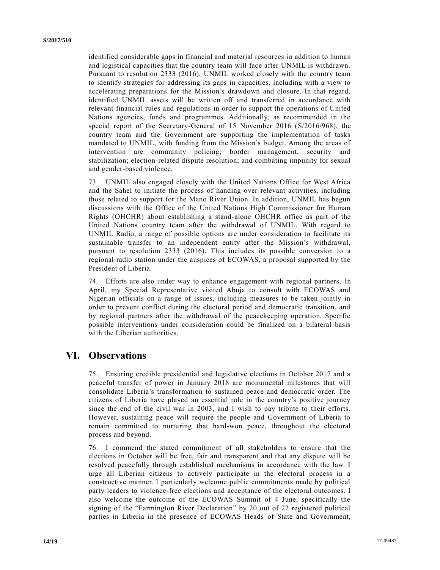identified considerable gaps in financial and material resources in addition to human and logistical capacities that the country team will face after UNMIL is withdrawn. Pursuant to resolution [2333 \(2016\),](https://undocs.org/S/RES/2333(2016)) UNMIL worked closely with the country team to identify strategies for addressing its gaps in capacities, including with a view to accelerating preparations for the Mission's drawdown and closure. In that regard, identified UNMIL assets will be written off and transferred in accordance with relevant financial rules and regulations in order to support the operations of United Nations agencies, funds and programmes. Additionally, as recommended in the special report of the Secretary-General of 15 November 2016 [\(S/2016/968\)](https://undocs.org/S/2016/968), the country team and the Government are supporting the implementation of tasks mandated to UNMIL, with funding from the Mission's budget. Among the areas of intervention are community policing; border management, security and stabilization; election-related dispute resolution; and combating impunity for sexual and gender-based violence.

73. UNMIL also engaged closely with the United Nations Office for West Africa and the Sahel to initiate the process of handing over relevant activities, including those related to support for the Mano River Union. In addition, UNMIL has begun discussions with the Office of the United Nations High Commissioner for Human Rights (OHCHR) about establishing a stand-alone OHCHR office as part of the United Nations country team after the withdrawal of UNMIL. With regard to UNMIL Radio, a range of possible options are under consideration to facilitate its sustainable transfer to an independent entity after the Mission's withdrawal, pursuant to resolution [2333 \(2016\).](https://undocs.org/S/RES/2333(2016)) This includes its possible conversion to a regional radio station under the auspices of ECOWAS, a proposal supported by the President of Liberia.

74. Efforts are also under way to enhance engagement with regional partners. In April, my Special Representative visited Abuja to consult with ECOWAS and Nigerian officials on a range of issues, including measures to be taken jointly in order to prevent conflict during the electoral period and democratic transition, and by regional partners after the withdrawal of the peacekeeping operation. Specific possible interventions under consideration could be finalized on a bilateral basis with the Liberian authorities.

## **VI. Observations**

75. Ensuring credible presidential and legislative elections in October 2017 and a peaceful transfer of power in January 2018 are monumental milestones that will consolidate Liberia's transformation to sustained peace and democratic order. The citizens of Liberia have played an essential role in the country's positive journey since the end of the civil war in 2003, and I wish to pay tribute to their efforts. However, sustaining peace will require the people and Government of Liberia to remain committed to nurturing that hard-won peace, throughout the electoral process and beyond.

76. I commend the stated commitment of all stakeholders to ensure that the elections in October will be free, fair and transparent and that any dispute will be resolved peacefully through established mechanisms in accordance with the law. I urge all Liberian citizens to actively participate in the electoral process in a constructive manner. I particularly welcome public commitments made by political party leaders to violence-free elections and acceptance of the electoral outcomes. I also welcome the outcome of the ECOWAS Summit of 4 June, specifically the signing of the "Farmington River Declaration" by 20 out of 22 registered political parties in Liberia in the presence of ECOWAS Heads of State and Government,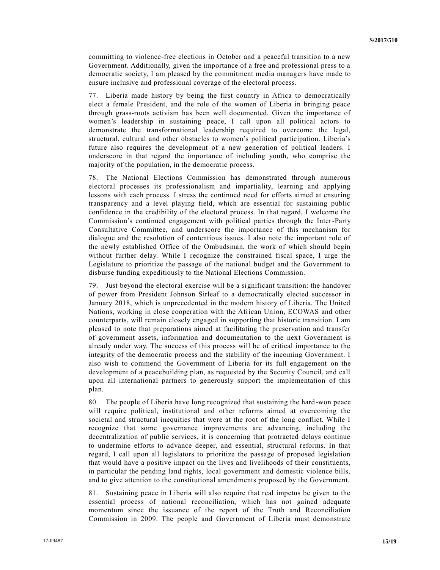committing to violence-free elections in October and a peaceful transition to a new Government. Additionally, given the importance of a free and professional press to a democratic society, I am pleased by the commitment media managers have made to ensure inclusive and professional coverage of the electoral process.

77. Liberia made history by being the first country in Africa to democratically elect a female President, and the role of the women of Liberia in bringing peace through grass-roots activism has been well documented. Given the importance of women's leadership in sustaining peace, I call upon all political actors to demonstrate the transformational leadership required to overcome the legal, structural, cultural and other obstacles to women's political participation. Liberia's future also requires the development of a new generation of political leaders. I underscore in that regard the importance of including youth, who comprise the majority of the population, in the democratic process.

78. The National Elections Commission has demonstrated through numerous electoral processes its professionalism and impartiality, learning and applying lessons with each process. I stress the continued need for efforts aimed at ensuring transparency and a level playing field, which are essential for sustaining public confidence in the credibility of the electoral process. In that regard, I welcome the Commission's continued engagement with political parties through the Inter-Party Consultative Committee, and underscore the importance of this mechanism for dialogue and the resolution of contentious issues. I also note the important role of the newly established Office of the Ombudsman, the work of which should begin without further delay. While I recognize the constrained fiscal space, I urge the Legislature to prioritize the passage of the national budget and the Government to disburse funding expeditiously to the National Elections Commission.

79. Just beyond the electoral exercise will be a significant transition: the handover of power from President Johnson Sirleaf to a democratically elected successor in January 2018, which is unprecedented in the modern history of Liberia. The United Nations, working in close cooperation with the African Union, ECOWAS and other counterparts, will remain closely engaged in supporting that historic transition. I am pleased to note that preparations aimed at facilitating the preservation and transfer of government assets, information and documentation to the next Government is already under way. The success of this process will be of critical importance to the integrity of the democratic process and the stability of the incoming Government. I also wish to commend the Government of Liberia for its full engagement on the development of a peacebuilding plan, as requested by the Security Council, and call upon all international partners to generously support the implementation of this plan.

80. The people of Liberia have long recognized that sustaining the hard-won peace will require political, institutional and other reforms aimed at overcoming the societal and structural inequities that were at the root of the long conflict. While I recognize that some governance improvements are advancing, including the decentralization of public services, it is concerning that protracted delays continue to undermine efforts to advance deeper, and essential, structural reforms. In that regard, I call upon all legislators to prioritize the passage of proposed legislation that would have a positive impact on the lives and livelihoods of their constituents, in particular the pending land rights, local government and domestic violence bills, and to give attention to the constitutional amendments proposed by the Government.

81. Sustaining peace in Liberia will also require that real impetus be given to the essential process of national reconciliation, which has not gained adequate momentum since the issuance of the report of the Truth and Reconciliation Commission in 2009. The people and Government of Liberia must demonstrate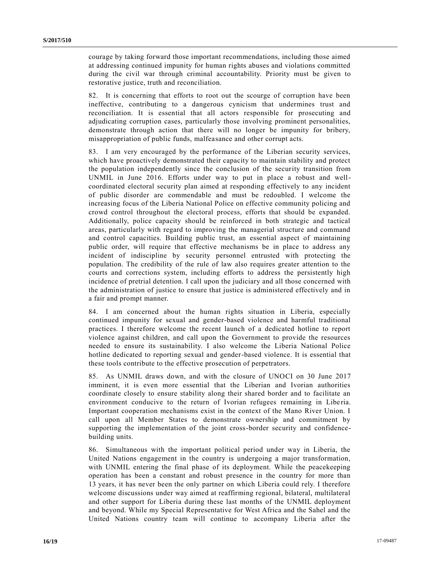courage by taking forward those important recommendations, including those aimed at addressing continued impunity for human rights abuses and violations committed during the civil war through criminal accountability. Priority must be given to restorative justice, truth and reconciliation.

82. It is concerning that efforts to root out the scourge of corruption have been ineffective, contributing to a dangerous cynicism that undermines trust and reconciliation. It is essential that all actors responsible for prosecuting and adjudicating corruption cases, particularly those involving prominent personalities, demonstrate through action that there will no longer be impunity for bribery, misappropriation of public funds, malfeasance and other corrupt acts.

83. I am very encouraged by the performance of the Liberian security services, which have proactively demonstrated their capacity to maintain stability and protect the population independently since the conclusion of the security transition from UNMIL in June 2016. Efforts under way to put in place a robust and wellcoordinated electoral security plan aimed at responding effectively to any incident of public disorder are commendable and must be redoubled. I welcome the increasing focus of the Liberia National Police on effective community policing and crowd control throughout the electoral process, efforts that should be expanded. Additionally, police capacity should be reinforced in both strategic and tactical areas, particularly with regard to improving the managerial structure and command and control capacities. Building public trust, an essential aspect of maintaining public order, will require that effective mechanisms be in place to address any incident of indiscipline by security personnel entrusted with protecting the population. The credibility of the rule of law also requires greater attention to the courts and corrections system, including efforts to address the persistently high incidence of pretrial detention. I call upon the judiciary and all those concerned with the administration of justice to ensure that justice is administered effectively and in a fair and prompt manner.

84. I am concerned about the human rights situation in Liberia, especially continued impunity for sexual and gender-based violence and harmful traditional practices. I therefore welcome the recent launch of a dedicated hotline to report violence against children, and call upon the Government to provide the resources needed to ensure its sustainability. I also welcome the Liberia National Police hotline dedicated to reporting sexual and gender-based violence. It is essential that these tools contribute to the effective prosecution of perpetrators.

85. As UNMIL draws down, and with the closure of UNOCI on 30 June 2017 imminent, it is even more essential that the Liberian and Ivorian authorities coordinate closely to ensure stability along their shared border and to facilitate an environment conducive to the return of Ivorian refugees remaining in Liberia. Important cooperation mechanisms exist in the context of the Mano River Union. I call upon all Member States to demonstrate ownership and commitment by supporting the implementation of the joint cross-border security and confidencebuilding units.

86. Simultaneous with the important political period under way in Liberia, the United Nations engagement in the country is undergoing a major transformation, with UNMIL entering the final phase of its deployment. While the peacekeeping operation has been a constant and robust presence in the country for more than 13 years, it has never been the only partner on which Liberia could rely. I therefore welcome discussions under way aimed at reaffirming regional, bilateral, multilateral and other support for Liberia during these last months of the UNMIL deployment and beyond. While my Special Representative for West Africa and the Sahel and the United Nations country team will continue to accompany Liberia after the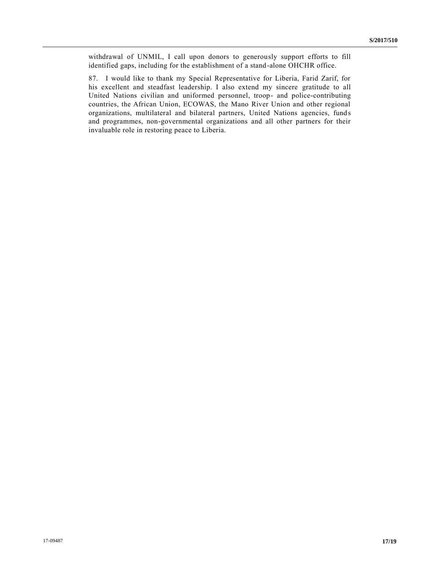withdrawal of UNMIL, I call upon donors to generously support efforts to fill identified gaps, including for the establishment of a stand-alone OHCHR office.

87. I would like to thank my Special Representative for Liberia, Farid Zarif, for his excellent and steadfast leadership. I also extend my sincere gratitude to all United Nations civilian and uniformed personnel, troop- and police-contributing countries, the African Union, ECOWAS, the Mano River Union and other regional organizations, multilateral and bilateral partners, United Nations agencies, fund s and programmes, non-governmental organizations and all other partners for their invaluable role in restoring peace to Liberia.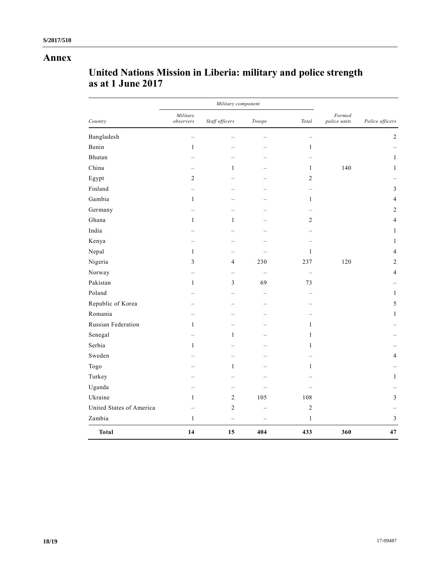## **Annex**

| Country                  | Military component    |                |                          |                          |                        |                 |
|--------------------------|-----------------------|----------------|--------------------------|--------------------------|------------------------|-----------------|
|                          | Military<br>observers | Staff officers | Troops                   | Total                    | Formed<br>police units | Police officers |
| Bangladesh               |                       |                |                          | $\overline{\phantom{0}}$ |                        | $\sqrt{2}$      |
| Benin                    | $\,1$                 |                |                          | $\mathbf{1}$             |                        |                 |
| Bhutan                   |                       |                |                          |                          |                        | $\mathbf{1}$    |
| China                    |                       | 1              |                          | $\mathbf{1}$             | 140                    | $\mathbf{1}$    |
| Egypt                    | $\overline{c}$        |                |                          | $\sqrt{2}$               |                        |                 |
| Finland                  |                       |                |                          |                          |                        | $\mathfrak{Z}$  |
| Gambia                   | $\mathbf{1}$          |                |                          | $\mathbf{1}$             |                        | $\overline{4}$  |
| Germany                  |                       |                |                          |                          |                        | $\overline{2}$  |
| Ghana                    | $\mathbf{1}$          | $\mathbf{1}$   |                          | $\overline{2}$           |                        | 4               |
| India                    |                       |                |                          |                          |                        | 1               |
| Kenya                    |                       |                |                          |                          |                        | 1               |
| Nepal                    | $\mathbf{1}$          |                |                          | $\mathbf{1}$             |                        | $\overline{4}$  |
| Nigeria                  | 3                     | 4              | 230                      | 237                      | 120                    | $\sqrt{2}$      |
| Norway                   |                       |                |                          | $\overline{\phantom{0}}$ |                        | $\overline{4}$  |
| Pakistan                 | $\mathbf{1}$          | $\mathfrak{Z}$ | 69                       | 73                       |                        |                 |
| Poland                   |                       |                |                          |                          |                        | $\mathbf{1}$    |
| Republic of Korea        |                       |                |                          |                          |                        | $\sqrt{5}$      |
| Romania                  |                       |                |                          |                          |                        | 1               |
| Russian Federation       | $\mathbf{1}$          |                |                          | $\mathbf{1}$             |                        |                 |
| Senegal                  |                       | $\mathbf{1}$   |                          | $\mathbf{1}$             |                        |                 |
| Serbia                   | $\mathbf{1}$          |                |                          | $\mathbf{1}$             |                        |                 |
| Sweden                   |                       |                |                          |                          |                        | 4               |
| Togo                     |                       | $\mathbf{1}$   |                          | 1                        |                        |                 |
| Turkey                   |                       |                |                          |                          |                        | $\mathbf{1}$    |
| Uganda                   |                       |                |                          |                          |                        |                 |
| Ukraine                  | 1                     | $\mathbf{2}$   | 105                      | 108                      |                        | $\mathfrak{Z}$  |
| United States of America |                       | $\mathbf{2}$   |                          | $\sqrt{2}$               |                        |                 |
| Zambia                   | $\mathbf{1}$          | $\equiv$       | $\overline{\phantom{0}}$ | $\mathbf{1}$             |                        | $\overline{3}$  |
| <b>Total</b>             | 14                    | 15             | 404                      | 433                      | 360                    | 47              |

# **United Nations Mission in Liberia: military and police strength as at 1 June 2017**